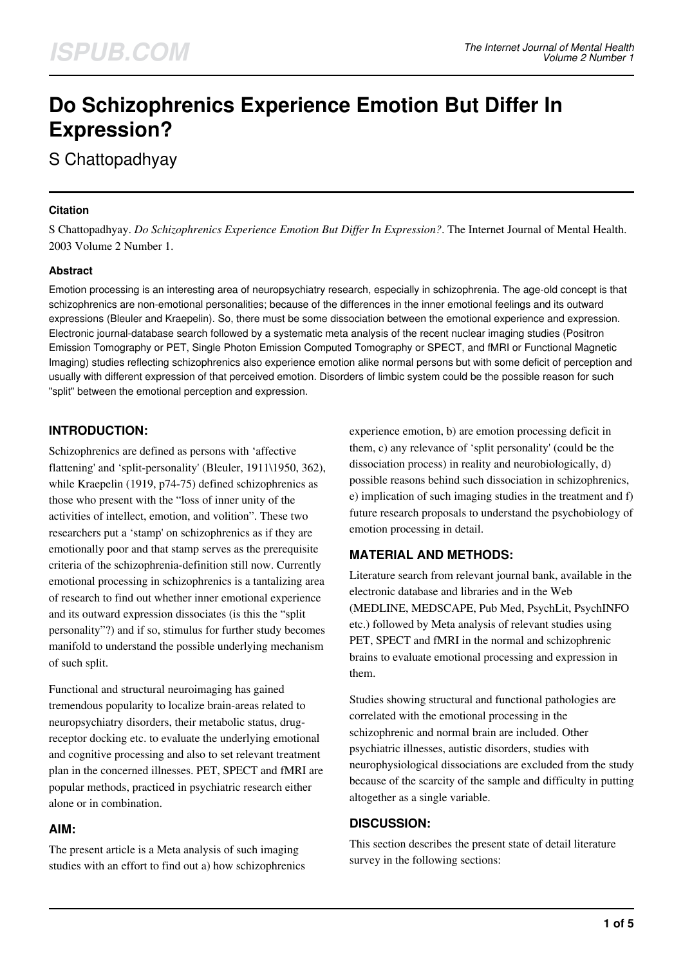# **Do Schizophrenics Experience Emotion But Differ In Expression?**

S Chattopadhyay

#### **Citation**

S Chattopadhyay. *Do Schizophrenics Experience Emotion But Differ In Expression?*. The Internet Journal of Mental Health. 2003 Volume 2 Number 1.

#### **Abstract**

Emotion processing is an interesting area of neuropsychiatry research, especially in schizophrenia. The age-old concept is that schizophrenics are non-emotional personalities; because of the differences in the inner emotional feelings and its outward expressions (Bleuler and Kraepelin). So, there must be some dissociation between the emotional experience and expression. Electronic journal-database search followed by a systematic meta analysis of the recent nuclear imaging studies (Positron Emission Tomography or PET, Single Photon Emission Computed Tomography or SPECT, and fMRI or Functional Magnetic Imaging) studies reflecting schizophrenics also experience emotion alike normal persons but with some deficit of perception and usually with different expression of that perceived emotion. Disorders of limbic system could be the possible reason for such "split" between the emotional perception and expression.

# **INTRODUCTION:**

Schizophrenics are defined as persons with 'affective flattening' and 'split-personality' (Bleuler, 1911\1950, 362), while Kraepelin (1919, p74-75) defined schizophrenics as those who present with the "loss of inner unity of the activities of intellect, emotion, and volition". These two researchers put a 'stamp' on schizophrenics as if they are emotionally poor and that stamp serves as the prerequisite criteria of the schizophrenia-definition still now. Currently emotional processing in schizophrenics is a tantalizing area of research to find out whether inner emotional experience and its outward expression dissociates (is this the "split personality"?) and if so, stimulus for further study becomes manifold to understand the possible underlying mechanism of such split.

Functional and structural neuroimaging has gained tremendous popularity to localize brain-areas related to neuropsychiatry disorders, their metabolic status, drugreceptor docking etc. to evaluate the underlying emotional and cognitive processing and also to set relevant treatment plan in the concerned illnesses. PET, SPECT and fMRI are popular methods, practiced in psychiatric research either alone or in combination.

## **AIM:**

The present article is a Meta analysis of such imaging studies with an effort to find out a) how schizophrenics experience emotion, b) are emotion processing deficit in them, c) any relevance of 'split personality' (could be the dissociation process) in reality and neurobiologically, d) possible reasons behind such dissociation in schizophrenics, e) implication of such imaging studies in the treatment and f) future research proposals to understand the psychobiology of emotion processing in detail.

## **MATERIAL AND METHODS:**

Literature search from relevant journal bank, available in the electronic database and libraries and in the Web (MEDLINE, MEDSCAPE, Pub Med, PsychLit, PsychINFO etc.) followed by Meta analysis of relevant studies using PET, SPECT and fMRI in the normal and schizophrenic brains to evaluate emotional processing and expression in them.

Studies showing structural and functional pathologies are correlated with the emotional processing in the schizophrenic and normal brain are included. Other psychiatric illnesses, autistic disorders, studies with neurophysiological dissociations are excluded from the study because of the scarcity of the sample and difficulty in putting altogether as a single variable.

## **DISCUSSION:**

This section describes the present state of detail literature survey in the following sections: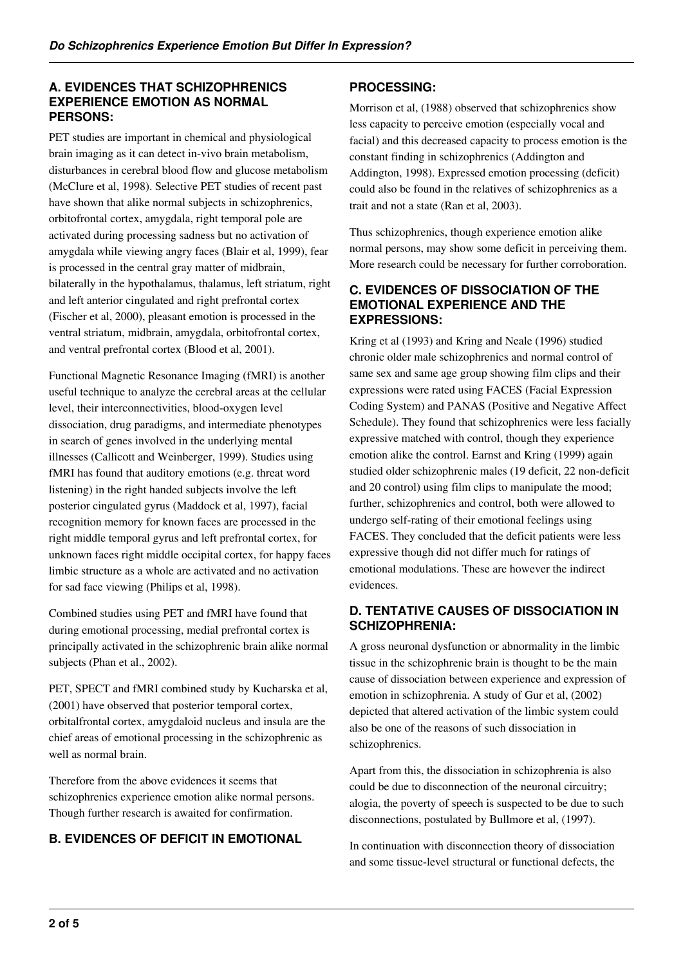# **A. EVIDENCES THAT SCHIZOPHRENICS EXPERIENCE EMOTION AS NORMAL PERSONS:**

PET studies are important in chemical and physiological brain imaging as it can detect in-vivo brain metabolism, disturbances in cerebral blood flow and glucose metabolism (McClure et al, 1998). Selective PET studies of recent past have shown that alike normal subjects in schizophrenics, orbitofrontal cortex, amygdala, right temporal pole are activated during processing sadness but no activation of amygdala while viewing angry faces (Blair et al, 1999), fear is processed in the central gray matter of midbrain, bilaterally in the hypothalamus, thalamus, left striatum, right and left anterior cingulated and right prefrontal cortex (Fischer et al, 2000), pleasant emotion is processed in the ventral striatum, midbrain, amygdala, orbitofrontal cortex, and ventral prefrontal cortex (Blood et al, 2001).

Functional Magnetic Resonance Imaging (fMRI) is another useful technique to analyze the cerebral areas at the cellular level, their interconnectivities, blood-oxygen level dissociation, drug paradigms, and intermediate phenotypes in search of genes involved in the underlying mental illnesses (Callicott and Weinberger, 1999). Studies using fMRI has found that auditory emotions (e.g. threat word listening) in the right handed subjects involve the left posterior cingulated gyrus (Maddock et al, 1997), facial recognition memory for known faces are processed in the right middle temporal gyrus and left prefrontal cortex, for unknown faces right middle occipital cortex, for happy faces limbic structure as a whole are activated and no activation for sad face viewing (Philips et al, 1998).

Combined studies using PET and fMRI have found that during emotional processing, medial prefrontal cortex is principally activated in the schizophrenic brain alike normal subjects (Phan et al., 2002).

PET, SPECT and fMRI combined study by Kucharska et al, (2001) have observed that posterior temporal cortex, orbitalfrontal cortex, amygdaloid nucleus and insula are the chief areas of emotional processing in the schizophrenic as well as normal brain.

Therefore from the above evidences it seems that schizophrenics experience emotion alike normal persons. Though further research is awaited for confirmation.

# **B. EVIDENCES OF DEFICIT IN EMOTIONAL**

# **PROCESSING:**

Morrison et al, (1988) observed that schizophrenics show less capacity to perceive emotion (especially vocal and facial) and this decreased capacity to process emotion is the constant finding in schizophrenics (Addington and Addington, 1998). Expressed emotion processing (deficit) could also be found in the relatives of schizophrenics as a trait and not a state (Ran et al, 2003).

Thus schizophrenics, though experience emotion alike normal persons, may show some deficit in perceiving them. More research could be necessary for further corroboration.

#### **C. EVIDENCES OF DISSOCIATION OF THE EMOTIONAL EXPERIENCE AND THE EXPRESSIONS:**

Kring et al (1993) and Kring and Neale (1996) studied chronic older male schizophrenics and normal control of same sex and same age group showing film clips and their expressions were rated using FACES (Facial Expression Coding System) and PANAS (Positive and Negative Affect Schedule). They found that schizophrenics were less facially expressive matched with control, though they experience emotion alike the control. Earnst and Kring (1999) again studied older schizophrenic males (19 deficit, 22 non-deficit and 20 control) using film clips to manipulate the mood; further, schizophrenics and control, both were allowed to undergo self-rating of their emotional feelings using FACES. They concluded that the deficit patients were less expressive though did not differ much for ratings of emotional modulations. These are however the indirect evidences.

# **D. TENTATIVE CAUSES OF DISSOCIATION IN SCHIZOPHRENIA:**

A gross neuronal dysfunction or abnormality in the limbic tissue in the schizophrenic brain is thought to be the main cause of dissociation between experience and expression of emotion in schizophrenia. A study of Gur et al, (2002) depicted that altered activation of the limbic system could also be one of the reasons of such dissociation in schizophrenics.

Apart from this, the dissociation in schizophrenia is also could be due to disconnection of the neuronal circuitry; alogia, the poverty of speech is suspected to be due to such disconnections, postulated by Bullmore et al, (1997).

In continuation with disconnection theory of dissociation and some tissue-level structural or functional defects, the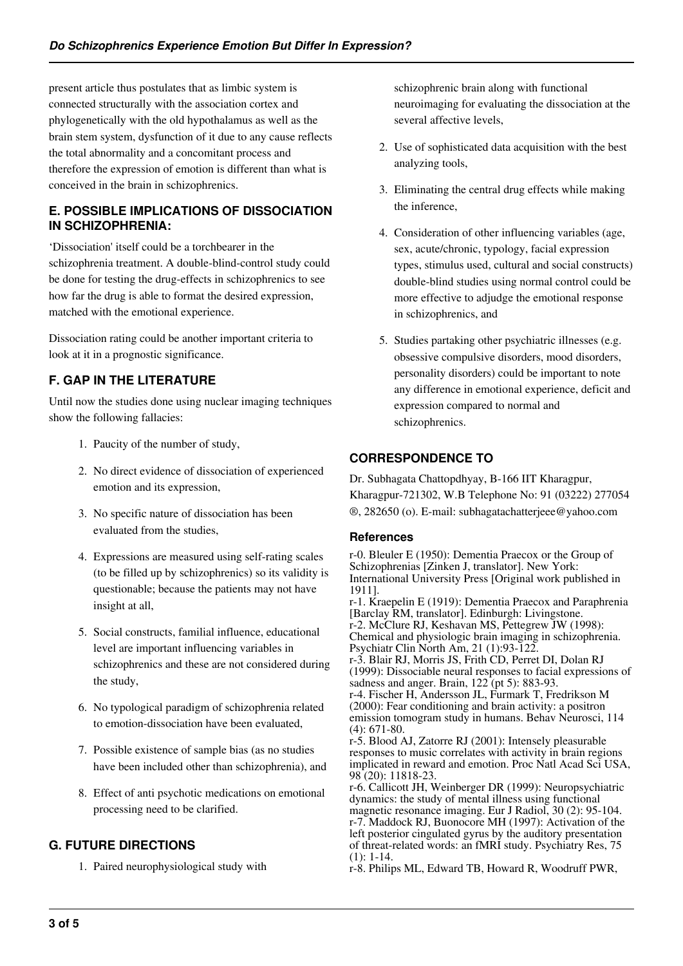present article thus postulates that as limbic system is connected structurally with the association cortex and phylogenetically with the old hypothalamus as well as the brain stem system, dysfunction of it due to any cause reflects the total abnormality and a concomitant process and therefore the expression of emotion is different than what is conceived in the brain in schizophrenics.

# **E. POSSIBLE IMPLICATIONS OF DISSOCIATION IN SCHIZOPHRENIA:**

'Dissociation' itself could be a torchbearer in the schizophrenia treatment. A double-blind-control study could be done for testing the drug-effects in schizophrenics to see how far the drug is able to format the desired expression, matched with the emotional experience.

Dissociation rating could be another important criteria to look at it in a prognostic significance.

# **F. GAP IN THE LITERATURE**

Until now the studies done using nuclear imaging techniques show the following fallacies:

- 1. Paucity of the number of study,
- 2. No direct evidence of dissociation of experienced emotion and its expression,
- 3. No specific nature of dissociation has been evaluated from the studies,
- 4. Expressions are measured using self-rating scales (to be filled up by schizophrenics) so its validity is questionable; because the patients may not have insight at all,
- 5. Social constructs, familial influence, educational level are important influencing variables in schizophrenics and these are not considered during the study,
- 6. No typological paradigm of schizophrenia related to emotion-dissociation have been evaluated,
- 7. Possible existence of sample bias (as no studies have been included other than schizophrenia), and
- 8. Effect of anti psychotic medications on emotional processing need to be clarified.

# **G. FUTURE DIRECTIONS**

1. Paired neurophysiological study with

schizophrenic brain along with functional neuroimaging for evaluating the dissociation at the several affective levels,

- 2. Use of sophisticated data acquisition with the best analyzing tools,
- 3. Eliminating the central drug effects while making the inference,
- 4. Consideration of other influencing variables (age, sex, acute/chronic, typology, facial expression types, stimulus used, cultural and social constructs) double-blind studies using normal control could be more effective to adjudge the emotional response in schizophrenics, and
- 5. Studies partaking other psychiatric illnesses (e.g. obsessive compulsive disorders, mood disorders, personality disorders) could be important to note any difference in emotional experience, deficit and expression compared to normal and schizophrenics.

# **CORRESPONDENCE TO**

Dr. Subhagata Chattopdhyay, B-166 IIT Kharagpur, Kharagpur-721302, W.B Telephone No: 91 (03222) 277054 ®, 282650 (o). E-mail: subhagatachatterjeee@yahoo.com

## **References**

r-0. Bleuler E (1950): Dementia Praecox or the Group of Schizophrenias [Zinken J, translator]. New York: International University Press [Original work published in 1911]. r-1. Kraepelin E (1919): Dementia Praecox and Paraphrenia [Barclay RM, translator]. Edinburgh: Livingstone. r-2. McClure RJ, Keshavan MS, Pettegrew JW (1998): Chemical and physiologic brain imaging in schizophrenia. Psychiatr Clin North Am, 21 (1):93-122. r-3. Blair RJ, Morris JS, Frith CD, Perret DI, Dolan RJ (1999): Dissociable neural responses to facial expressions of sadness and anger. Brain, 122 (pt 5): 883-93. r-4. Fischer H, Andersson JL, Furmark T, Fredrikson M (2000): Fear conditioning and brain activity: a positron emission tomogram study in humans. Behav Neurosci, 114 (4): 671-80. r-5. Blood AJ, Zatorre RJ (2001): Intensely pleasurable responses to music correlates with activity in brain regions implicated in reward and emotion. Proc Natl Acad Sci USA, 98 (20): 11818-23. r-6. Callicott JH, Weinberger DR (1999): Neuropsychiatric dynamics: the study of mental illness using functional

magnetic resonance imaging. Eur J Radiol, 30 (2): 95-104. r-7. Maddock RJ, Buonocore MH (1997): Activation of the left posterior cingulated gyrus by the auditory presentation of threat-related words: an fMRI study. Psychiatry Res, 75 (1): 1-14.

r-8. Philips ML, Edward TB, Howard R, Woodruff PWR,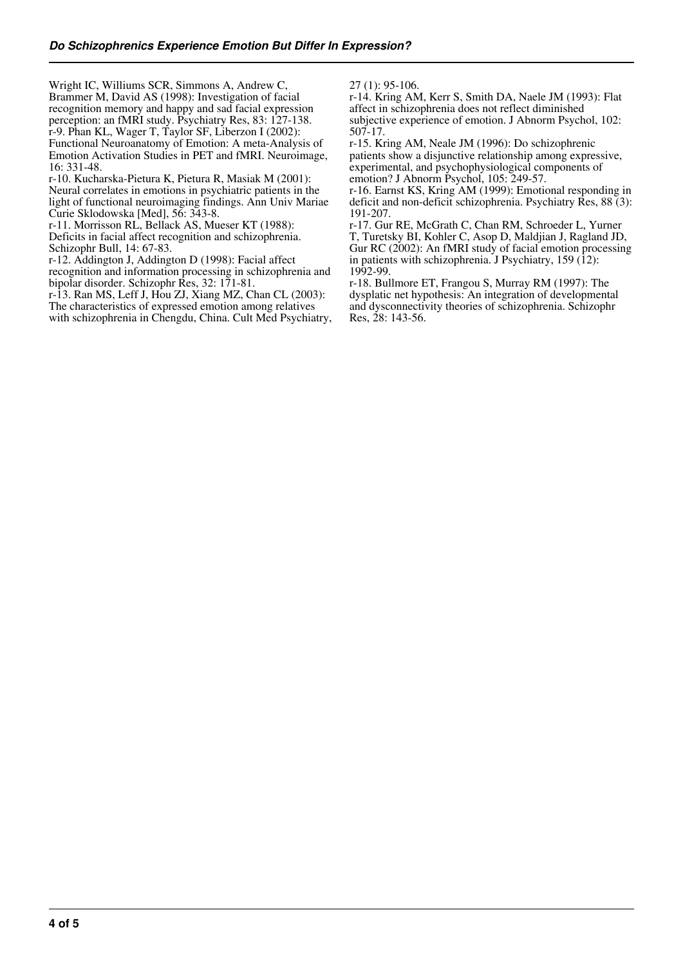Wright IC, Williums SCR, Simmons A, Andrew C, Brammer M, David AS (1998): Investigation of facial recognition memory and happy and sad facial expression perception: an fMRI study. Psychiatry Res, 83: 127-138. r-9. Phan KL, Wager T, Taylor SF, Liberzon I (2002): Functional Neuroanatomy of Emotion: A meta-Analysis of Emotion Activation Studies in PET and fMRI. Neuroimage, 16: 331-48.

r-10. Kucharska-Pietura K, Pietura R, Masiak M (2001): Neural correlates in emotions in psychiatric patients in the light of functional neuroimaging findings. Ann Univ Mariae Curie Sklodowska [Med], 56: 343-8.

r-11. Morrisson RL, Bellack AS, Mueser KT (1988): Deficits in facial affect recognition and schizophrenia.

Schizophr Bull, 14: 67-83.

r-12. Addington J, Addington D (1998): Facial affect recognition and information processing in schizophrenia and

bipolar disorder. Schizophr Res, 32: 171-81.

r-13. Ran MS, Leff J, Hou ZJ, Xiang MZ, Chan CL (2003): The characteristics of expressed emotion among relatives

with schizophrenia in Chengdu, China. Cult Med Psychiatry,

27 (1): 95-106.

r-14. Kring AM, Kerr S, Smith DA, Naele JM (1993): Flat affect in schizophrenia does not reflect diminished subjective experience of emotion. J Abnorm Psychol, 102: 507-17.

r-15. Kring AM, Neale JM (1996): Do schizophrenic patients show a disjunctive relationship among expressive, experimental, and psychophysiological components of emotion? J Abnorm Psychol, 105: 249-57.

r-16. Earnst KS, Kring AM (1999): Emotional responding in deficit and non-deficit schizophrenia. Psychiatry Res, 88 (3): 191-207.

r-17. Gur RE, McGrath C, Chan RM, Schroeder L, Yurner T, Turetsky BI, Kohler C, Asop D, Maldjian J, Ragland JD, Gur RC (2002): An fMRI study of facial emotion processing in patients with schizophrenia. J Psychiatry,  $159(12)$ : 1992-99.

r-18. Bullmore ET, Frangou S, Murray RM (1997): The dysplatic net hypothesis: An integration of developmental and dysconnectivity theories of schizophrenia. Schizophr Res, 28: 143-56.